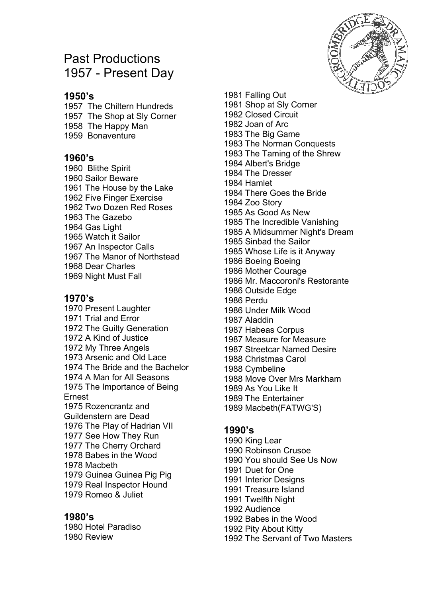# Past Productions 1957 - Present Day

## **1950's**

1957 The Chiltern Hundreds 1957 The Shop at Sly Corner 1958 The Happy Man 1959 Bonaventure

#### **1960's**

1960 Blithe Spirit 1960 Sailor Beware 1961 The House by the Lake 1962 Five Finger Exercise 1962 Two Dozen Red Roses 1963 The Gazebo 1964 Gas Light 1965 Watch it Sailor 1967 An Inspector Calls 1967 The Manor of Northstead 1968 Dear Charles 1969 Night Must Fall

#### **1970's**

1970 Present Laughter 1971 Trial and Error 1972 The Guilty Generation 1972 A Kind of Justice 1972 My Three Angels 1973 Arsenic and Old Lace 1974 The Bride and the Bachelor 1974 A Man for All Seasons 1975 The Importance of Being Ernest 1975 Rozencrantz and Guildenstern are Dead 1976 The Play of Hadrian VII 1977 See How They Run 1977 The Cherry Orchard 1978 Babes in the Wood 1978 Macbeth 1979 Guinea Guinea Pig Pig 1979 Real Inspector Hound 1979 Romeo & Juliet

#### **1980's**

1980 Hotel Paradiso 1980 Review

1981 Falling Out 1981 Shop at Sly Corner 1982 Closed Circuit 1982 Joan of Arc 1983 The Big Game 1983 The Norman Conquests 1983 The Taming of the Shrew 1984 Albert's Bridge 1984 The Dresser 1984 Hamlet 1984 There Goes the Bride 1984 Zoo Story 1985 As Good As New 1985 The Incredible Vanishing 1985 A Midsummer Night's Dream 1985 Sinbad the Sailor 1985 Whose Life is it Anyway 1986 Boeing Boeing 1986 Mother Courage 1986 Mr. Maccoroni's Restorante 1986 Outside Edge 1986 Perdu 1986 Under Milk Wood 1987 Aladdin 1987 Habeas Corpus 1987 Measure for Measure 1987 Streetcar Named Desire 1988 Christmas Carol 1988 Cymbeline 1988 Move Over Mrs Markham 1989 As You Like It 1989 The Entertainer 1989 Macbeth(FATWG'S)

## **1990's**

1990 King Lear 1990 Robinson Crusoe 1990 You should See Us Now 1991 Duet for One 1991 Interior Designs 1991 Treasure Island 1991 Twelfth Night 1992 Audience 1992 Babes in the Wood 1992 Pity About Kitty

1992 The Servant of Two Masters